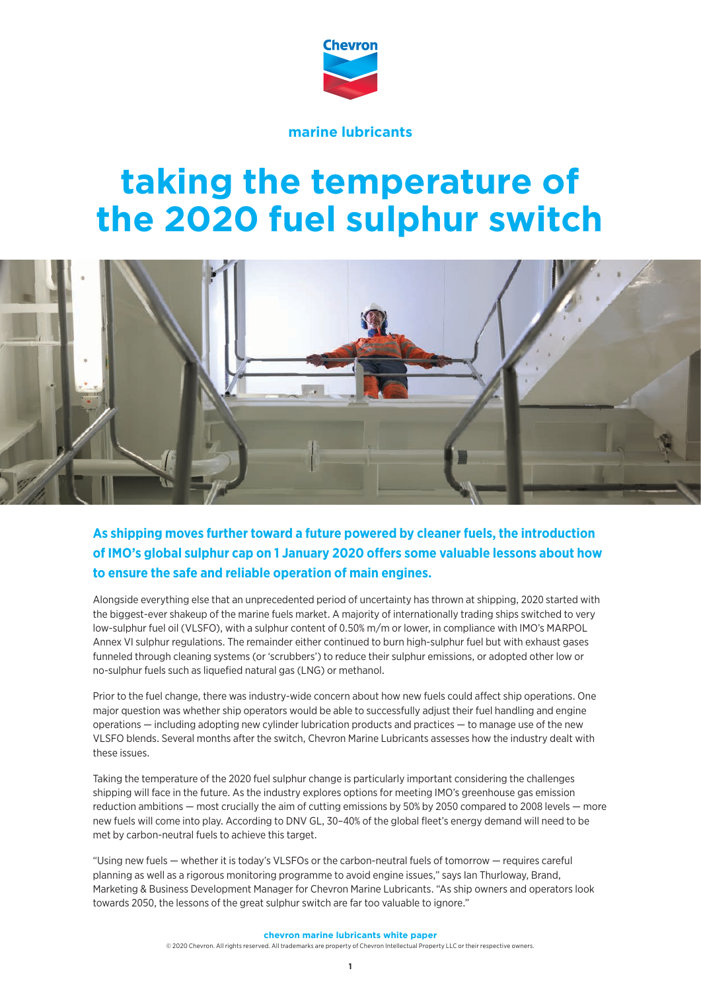

**marine lubricants**

# **taking the temperature of the 2020 fuel sulphur switch**



**As shipping moves further toward a future powered by cleaner fuels, the introduction of IMO's global sulphur cap on 1 January 2020 offers some valuable lessons about how to ensure the safe and reliable operation of main engines.** 

Alongside everything else that an unprecedented period of uncertainty has thrown at shipping, 2020 started with the biggest-ever shakeup of the marine fuels market. A majority of internationally trading ships switched to very low-sulphur fuel oil (VLSFO), with a sulphur content of 0.50% m/m or lower, in compliance with IMO's MARPOL Annex VI sulphur regulations. The remainder either continued to burn high-sulphur fuel but with exhaust gases funneled through cleaning systems (or 'scrubbers') to reduce their sulphur emissions, or adopted other low or no-sulphur fuels such as liquefied natural gas (LNG) or methanol.

Prior to the fuel change, there was industry-wide concern about how new fuels could affect ship operations. One major question was whether ship operators would be able to successfully adjust their fuel handling and engine operations — including adopting new cylinder lubrication products and practices — to manage use of the new VLSFO blends. Several months after the switch, Chevron Marine Lubricants assesses how the industry dealt with these issues.

Taking the temperature of the 2020 fuel sulphur change is particularly important considering the challenges shipping will face in the future. As the industry explores options for meeting IMO's greenhouse gas emission reduction ambitions — most crucially the aim of cutting emissions by 50% by 2050 compared to 2008 levels — more new fuels will come into play. According to DNV GL, 30–40% of the global fleet's energy demand will need to be met by carbon-neutral fuels to achieve this target.

"Using new fuels — whether it is today's VLSFOs or the carbon-neutral fuels of tomorrow — requires careful planning as well as a rigorous monitoring programme to avoid engine issues," says Ian Thurloway, Brand, Marketing & Business Development Manager for Chevron Marine Lubricants. "As ship owners and operators look towards 2050, the lessons of the great sulphur switch are far too valuable to ignore."

**chevron marine lubricants white paper**

© 2020 Chevron. All rights reserved. All trademarks are property of Chevron Intellectual Property LLC or their respective owners.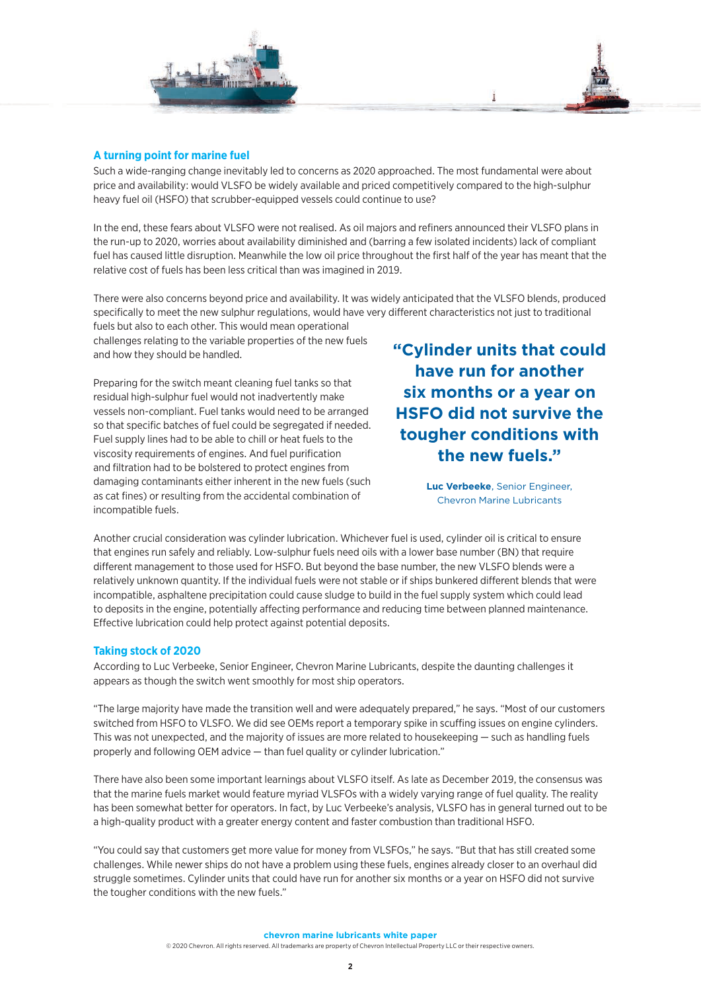

#### **A turning point for marine fuel**

Such a wide-ranging change inevitably led to concerns as 2020 approached. The most fundamental were about price and availability: would VLSFO be widely available and priced competitively compared to the high-sulphur heavy fuel oil (HSFO) that scrubber-equipped vessels could continue to use?

In the end, these fears about VLSFO were not realised. As oil majors and refiners announced their VLSFO plans in the run-up to 2020, worries about availability diminished and (barring a few isolated incidents) lack of compliant fuel has caused little disruption. Meanwhile the low oil price throughout the first half of the year has meant that the relative cost of fuels has been less critical than was imagined in 2019.

There were also concerns beyond price and availability. It was widely anticipated that the VLSFO blends, produced specifically to meet the new sulphur regulations, would have very different characteristics not just to traditional

fuels but also to each other. This would mean operational challenges relating to the variable properties of the new fuels and how they should be handled.

Preparing for the switch meant cleaning fuel tanks so that residual high-sulphur fuel would not inadvertently make vessels non-compliant. Fuel tanks would need to be arranged so that specific batches of fuel could be segregated if needed. Fuel supply lines had to be able to chill or heat fuels to the viscosity requirements of engines. And fuel purification and filtration had to be bolstered to protect engines from damaging contaminants either inherent in the new fuels (such as cat fines) or resulting from the accidental combination of incompatible fuels.

**"Cylinder units that could have run for another six months or a year on HSFO did not survive the tougher conditions with the new fuels."**

> **Luc Verbeeke**, Senior Engineer, Chevron Marine Lubricants

Another crucial consideration was cylinder lubrication. Whichever fuel is used, cylinder oil is critical to ensure that engines run safely and reliably. Low-sulphur fuels need oils with a lower base number (BN) that require different management to those used for HSFO. But beyond the base number, the new VLSFO blends were a relatively unknown quantity. If the individual fuels were not stable or if ships bunkered different blends that were incompatible, asphaltene precipitation could cause sludge to build in the fuel supply system which could lead to deposits in the engine, potentially affecting performance and reducing time between planned maintenance. Effective lubrication could help protect against potential deposits.

#### **Taking stock of 2020**

According to Luc Verbeeke, Senior Engineer, Chevron Marine Lubricants, despite the daunting challenges it appears as though the switch went smoothly for most ship operators.

"The large majority have made the transition well and were adequately prepared," he says. "Most of our customers switched from HSFO to VLSFO. We did see OEMs report a temporary spike in scuffing issues on engine cylinders. This was not unexpected, and the majority of issues are more related to housekeeping — such as handling fuels properly and following OEM advice — than fuel quality or cylinder lubrication."

There have also been some important learnings about VLSFO itself. As late as December 2019, the consensus was that the marine fuels market would feature myriad VLSFOs with a widely varying range of fuel quality. The reality has been somewhat better for operators. In fact, by Luc Verbeeke's analysis, VLSFO has in general turned out to be a high-quality product with a greater energy content and faster combustion than traditional HSFO.

"You could say that customers get more value for money from VLSFOs," he says. "But that has still created some challenges. While newer ships do not have a problem using these fuels, engines already closer to an overhaul did struggle sometimes. Cylinder units that could have run for another six months or a year on HSFO did not survive the tougher conditions with the new fuels."

**chevron marine lubricants white paper**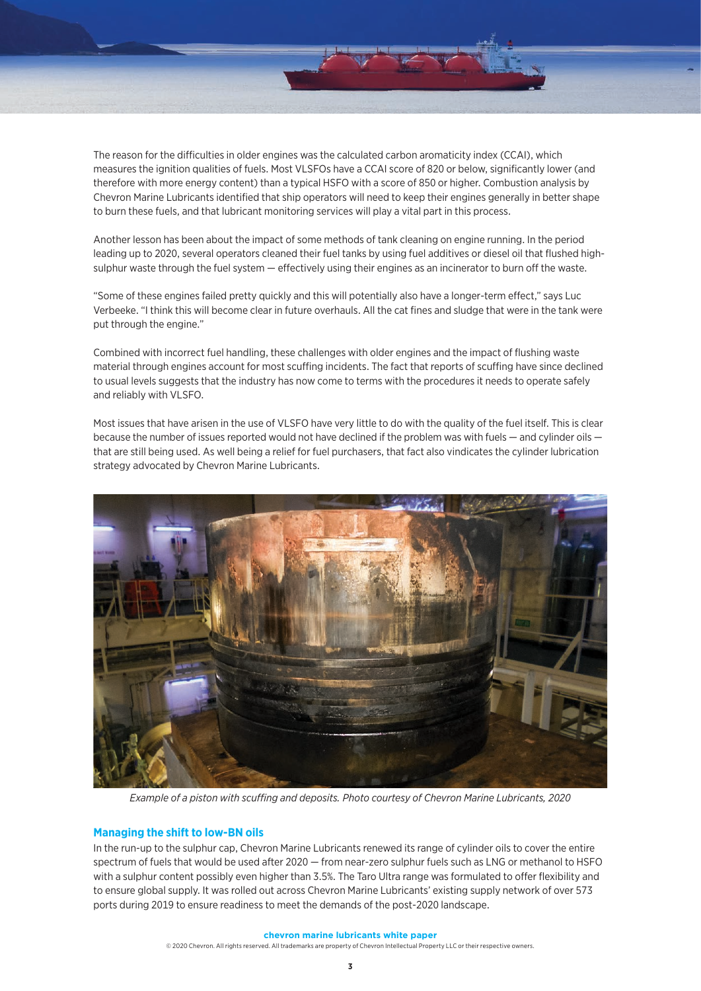

The reason for the difficulties in older engines was the calculated carbon aromaticity index (CCAI), which measures the ignition qualities of fuels. Most VLSFOs have a CCAI score of 820 or below, significantly lower (and therefore with more energy content) than a typical HSFO with a score of 850 or higher. Combustion analysis by Chevron Marine Lubricants identified that ship operators will need to keep their engines generally in better shape to burn these fuels, and that lubricant monitoring services will play a vital part in this process.

Another lesson has been about the impact of some methods of tank cleaning on engine running. In the period leading up to 2020, several operators cleaned their fuel tanks by using fuel additives or diesel oil that flushed highsulphur waste through the fuel system — effectively using their engines as an incinerator to burn off the waste.

"Some of these engines failed pretty quickly and this will potentially also have a longer-term effect," says Luc Verbeeke. "I think this will become clear in future overhauls. All the cat fines and sludge that were in the tank were put through the engine."

Combined with incorrect fuel handling, these challenges with older engines and the impact of flushing waste material through engines account for most scuffing incidents. The fact that reports of scuffing have since declined to usual levels suggests that the industry has now come to terms with the procedures it needs to operate safely and reliably with VLSFO.

Most issues that have arisen in the use of VLSFO have very little to do with the quality of the fuel itself. This is clear because the number of issues reported would not have declined if the problem was with fuels — and cylinder oils that are still being used. As well being a relief for fuel purchasers, that fact also vindicates the cylinder lubrication strategy advocated by Chevron Marine Lubricants.



*Example of a piston with scuffing and deposits. Photo courtesy of Chevron Marine Lubricants, 2020*

## **Managing the shift to low-BN oils**

In the run-up to the sulphur cap, Chevron Marine Lubricants renewed its range of cylinder oils to cover the entire spectrum of fuels that would be used after 2020 — from near-zero sulphur fuels such as LNG or methanol to HSFO with a sulphur content possibly even higher than 3.5%. The Taro Ultra range was formulated to offer flexibility and to ensure global supply. It was rolled out across Chevron Marine Lubricants' existing supply network of over 573 ports during 2019 to ensure readiness to meet the demands of the post-2020 landscape.

#### **chevron marine lubricants white paper**

© 2020 Chevron. All rights reserved. All trademarks are property of Chevron Intellectual Property LLC or their respective owners.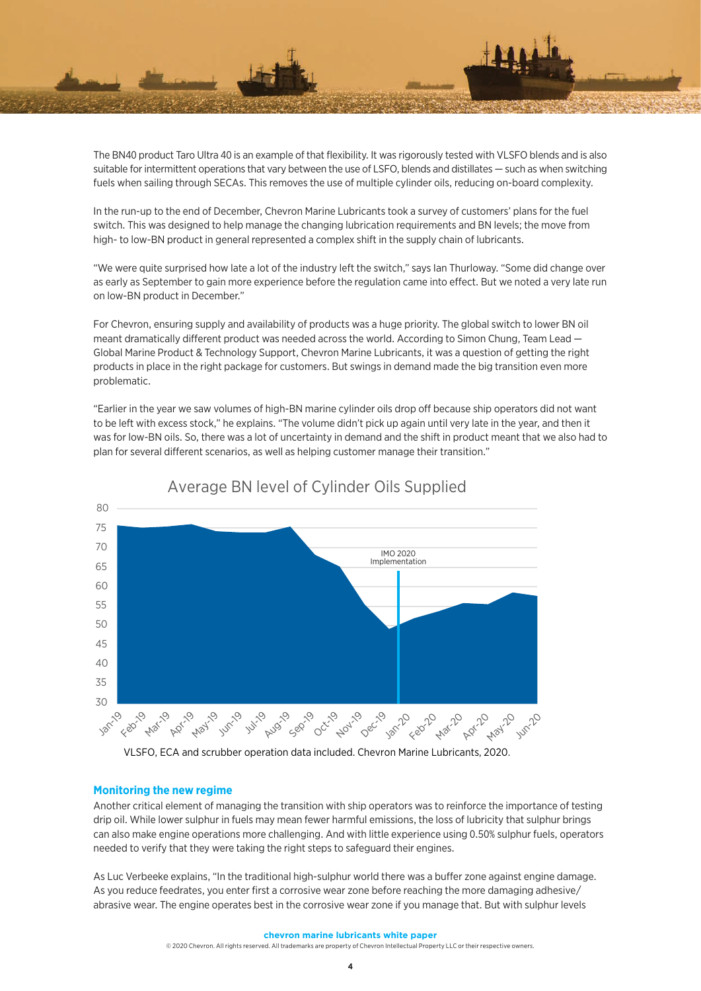

The BN40 product Taro Ultra 40 is an example of that flexibility. It was rigorously tested with VLSFO blends and is also suitable for intermittent operations that vary between the use of LSFO, blends and distillates — such as when switching fuels when sailing through SECAs. This removes the use of multiple cylinder oils, reducing on-board complexity.

In the run-up to the end of December, Chevron Marine Lubricants took a survey of customers' plans for the fuel switch. This was designed to help manage the changing lubrication requirements and BN levels; the move from high- to low-BN product in general represented a complex shift in the supply chain of lubricants.

"We were quite surprised how late a lot of the industry left the switch," says Ian Thurloway. "Some did change over as early as September to gain more experience before the regulation came into effect. But we noted a very late run on low-BN product in December."

For Chevron, ensuring supply and availability of products was a huge priority. The global switch to lower BN oil meant dramatically different product was needed across the world. According to Simon Chung, Team Lead — Global Marine Product & Technology Support, Chevron Marine Lubricants, it was a question of getting the right products in place in the right package for customers. But swings in demand made the big transition even more problematic.

"Earlier in the year we saw volumes of high-BN marine cylinder oils drop off because ship operators did not want to be left with excess stock," he explains. "The volume didn't pick up again until very late in the year, and then it was for low-BN oils. So, there was a lot of uncertainty in demand and the shift in product meant that we also had to plan for several different scenarios, as well as helping customer manage their transition."



# Average BN level of Cylinder Oils Supplied

VLSFO, ECA and scrubber operation data included. Chevron Marine Lubricants, 2020.

## **Monitoring the new regime**

Another critical element of managing the transition with ship operators was to reinforce the importance of testing drip oil. While lower sulphur in fuels may mean fewer harmful emissions, the loss of lubricity that sulphur brings can also make engine operations more challenging. And with little experience using 0.50% sulphur fuels, operators needed to verify that they were taking the right steps to safeguard their engines.

As Luc Verbeeke explains, "In the traditional high-sulphur world there was a buffer zone against engine damage. As you reduce feedrates, you enter first a corrosive wear zone before reaching the more damaging adhesive/ abrasive wear. The engine operates best in the corrosive wear zone if you manage that. But with sulphur levels

#### **chevron marine lubricants white paper**

© 2020 Chevron. All rights reserved. All trademarks are property of Chevron Intellectual Property LLC or their respective owners.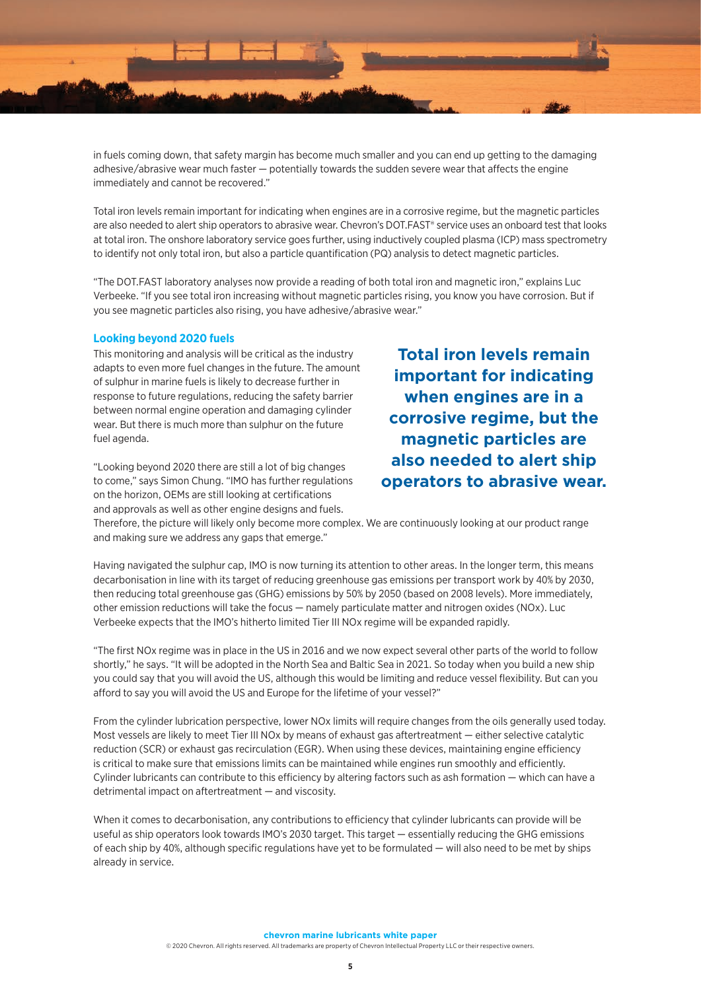

in fuels coming down, that safety margin has become much smaller and you can end up getting to the damaging adhesive/abrasive wear much faster — potentially towards the sudden severe wear that affects the engine immediately and cannot be recovered."

Total iron levels remain important for indicating when engines are in a corrosive regime, but the magnetic particles are also needed to alert ship operators to abrasive wear. Chevron's DOT.FAST® service uses an onboard test that looks at total iron. The onshore laboratory service goes further, using inductively coupled plasma (ICP) mass spectrometry to identify not only total iron, but also a particle quantification (PQ) analysis to detect magnetic particles.

"The DOT.FAST laboratory analyses now provide a reading of both total iron and magnetic iron," explains Luc Verbeeke. "If you see total iron increasing without magnetic particles rising, you know you have corrosion. But if you see magnetic particles also rising, you have adhesive/abrasive wear."

#### **Looking beyond 2020 fuels**

This monitoring and analysis will be critical as the industry adapts to even more fuel changes in the future. The amount of sulphur in marine fuels is likely to decrease further in response to future regulations, reducing the safety barrier between normal engine operation and damaging cylinder wear. But there is much more than sulphur on the future fuel agenda.

"Looking beyond 2020 there are still a lot of big changes to come," says Simon Chung. "IMO has further regulations on the horizon, OEMs are still looking at certifications and approvals as well as other engine designs and fuels.

**Total iron levels remain important for indicating when engines are in a corrosive regime, but the magnetic particles are also needed to alert ship operators to abrasive wear.**

Therefore, the picture will likely only become more complex. We are continuously looking at our product range and making sure we address any gaps that emerge."

Having navigated the sulphur cap, IMO is now turning its attention to other areas. In the longer term, this means decarbonisation in line with its target of reducing greenhouse gas emissions per transport work by 40% by 2030, then reducing total greenhouse gas (GHG) emissions by 50% by 2050 (based on 2008 levels). More immediately, other emission reductions will take the focus — namely particulate matter and nitrogen oxides (NOx). Luc Verbeeke expects that the IMO's hitherto limited Tier III NOx regime will be expanded rapidly.

"The first NOx regime was in place in the US in 2016 and we now expect several other parts of the world to follow shortly," he says. "It will be adopted in the North Sea and Baltic Sea in 2021. So today when you build a new ship you could say that you will avoid the US, although this would be limiting and reduce vessel flexibility. But can you afford to say you will avoid the US and Europe for the lifetime of your vessel?"

From the cylinder lubrication perspective, lower NOx limits will require changes from the oils generally used today. Most vessels are likely to meet Tier III NOx by means of exhaust gas aftertreatment — either selective catalytic reduction (SCR) or exhaust gas recirculation (EGR). When using these devices, maintaining engine efficiency is critical to make sure that emissions limits can be maintained while engines run smoothly and efficiently. Cylinder lubricants can contribute to this efficiency by altering factors such as ash formation — which can have a detrimental impact on aftertreatment — and viscosity.

When it comes to decarbonisation, any contributions to efficiency that cylinder lubricants can provide will be useful as ship operators look towards IMO's 2030 target. This target — essentially reducing the GHG emissions of each ship by 40%, although specific regulations have yet to be formulated — will also need to be met by ships already in service.